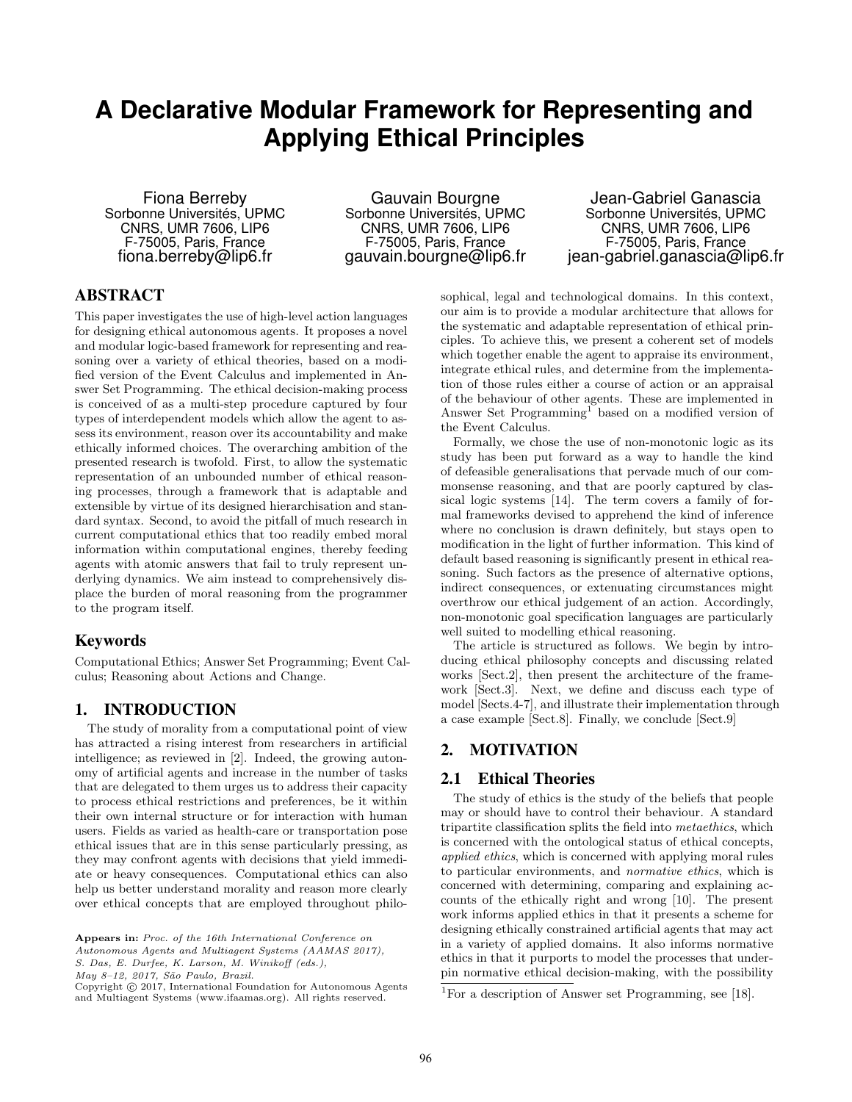# **A Declarative Modular Framework for Representing and Applying Ethical Principles**

Fiona Berreby Sorbonne Universités, UPMC CNRS, UMR 7606, LIP6 F-75005, Paris, France fiona.berreby@lip6.fr

Gauvain Bourgne Sorbonne Universités, UPMC CNRS, UMR 7606, LIP6 F-75005, Paris, France gauvain.bourgne@lip6.fr

Jean-Gabriel Ganascia Sorbonne Universités, UPMC CNRS, UMR 7606, LIP6 F-75005, Paris, France jean-gabriel.ganascia@lip6.fr

# ABSTRACT

This paper investigates the use of high-level action languages for designing ethical autonomous agents. It proposes a novel and modular logic-based framework for representing and reasoning over a variety of ethical theories, based on a modified version of the Event Calculus and implemented in Answer Set Programming. The ethical decision-making process is conceived of as a multi-step procedure captured by four types of interdependent models which allow the agent to assess its environment, reason over its accountability and make ethically informed choices. The overarching ambition of the presented research is twofold. First, to allow the systematic representation of an unbounded number of ethical reasoning processes, through a framework that is adaptable and extensible by virtue of its designed hierarchisation and standard syntax. Second, to avoid the pitfall of much research in current computational ethics that too readily embed moral information within computational engines, thereby feeding agents with atomic answers that fail to truly represent underlying dynamics. We aim instead to comprehensively displace the burden of moral reasoning from the programmer to the program itself.

## Keywords

Computational Ethics; Answer Set Programming; Event Calculus; Reasoning about Actions and Change.

# 1. INTRODUCTION

The study of morality from a computational point of view has attracted a rising interest from researchers in artificial intelligence; as reviewed in [2]. Indeed, the growing autonomy of artificial agents and increase in the number of tasks that are delegated to them urges us to address their capacity to process ethical restrictions and preferences, be it within their own internal structure or for interaction with human users. Fields as varied as health-care or transportation pose ethical issues that are in this sense particularly pressing, as they may confront agents with decisions that yield immediate or heavy consequences. Computational ethics can also help us better understand morality and reason more clearly over ethical concepts that are employed throughout philo-

Autonomous Agents and Multiagent Systems (AAMAS 2017),

S. Das, E. Durfee, K. Larson, M. Winikoff (eds.),

May 8-12, 2017, São Paulo, Brazil.

Copyright © 2017, International Foundation for Autonomous Agents and Multiagent Systems (www.ifaamas.org). All rights reserved.

sophical, legal and technological domains. In this context, our aim is to provide a modular architecture that allows for the systematic and adaptable representation of ethical principles. To achieve this, we present a coherent set of models which together enable the agent to appraise its environment, integrate ethical rules, and determine from the implementation of those rules either a course of action or an appraisal of the behaviour of other agents. These are implemented in Answer Set Programming<sup>1</sup> based on a modified version of the Event Calculus.

Formally, we chose the use of non-monotonic logic as its study has been put forward as a way to handle the kind of defeasible generalisations that pervade much of our commonsense reasoning, and that are poorly captured by classical logic systems [14]. The term covers a family of formal frameworks devised to apprehend the kind of inference where no conclusion is drawn definitely, but stays open to modification in the light of further information. This kind of default based reasoning is significantly present in ethical reasoning. Such factors as the presence of alternative options, indirect consequences, or extenuating circumstances might overthrow our ethical judgement of an action. Accordingly, non-monotonic goal specification languages are particularly well suited to modelling ethical reasoning.

The article is structured as follows. We begin by introducing ethical philosophy concepts and discussing related works [Sect.2], then present the architecture of the framework [Sect.3]. Next, we define and discuss each type of model [Sects.4-7], and illustrate their implementation through a case example [Sect.8]. Finally, we conclude [Sect.9]

# 2. MOTIVATION

## 2.1 Ethical Theories

The study of ethics is the study of the beliefs that people may or should have to control their behaviour. A standard tripartite classification splits the field into metaethics, which is concerned with the ontological status of ethical concepts, applied ethics, which is concerned with applying moral rules to particular environments, and normative ethics, which is concerned with determining, comparing and explaining accounts of the ethically right and wrong [10]. The present work informs applied ethics in that it presents a scheme for designing ethically constrained artificial agents that may act in a variety of applied domains. It also informs normative ethics in that it purports to model the processes that underpin normative ethical decision-making, with the possibility

Appears in: Proc. of the 16th International Conference on

<sup>&</sup>lt;sup>1</sup>For a description of Answer set Programming, see [18].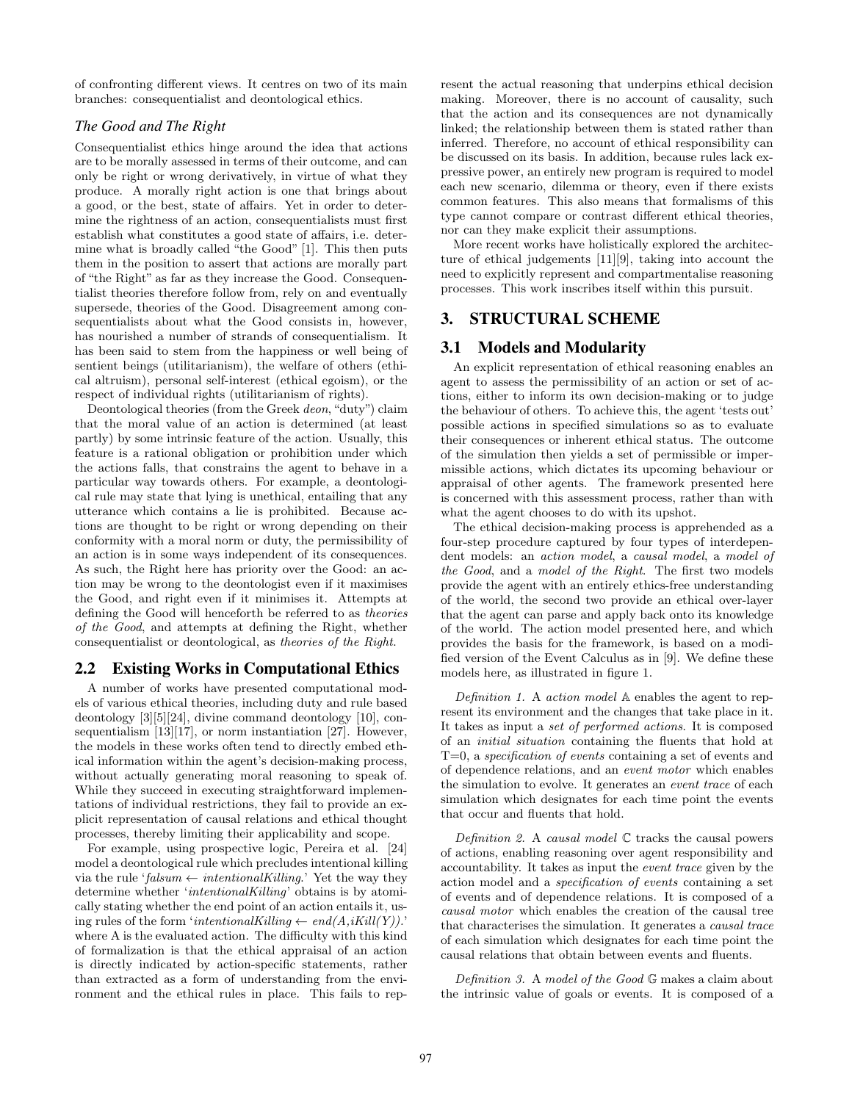of confronting different views. It centres on two of its main branches: consequentialist and deontological ethics.

## *The Good and The Right*

Consequentialist ethics hinge around the idea that actions are to be morally assessed in terms of their outcome, and can only be right or wrong derivatively, in virtue of what they produce. A morally right action is one that brings about a good, or the best, state of affairs. Yet in order to determine the rightness of an action, consequentialists must first establish what constitutes a good state of affairs, i.e. determine what is broadly called "the Good" [1]. This then puts them in the position to assert that actions are morally part of "the Right" as far as they increase the Good. Consequentialist theories therefore follow from, rely on and eventually supersede, theories of the Good. Disagreement among consequentialists about what the Good consists in, however, has nourished a number of strands of consequentialism. It has been said to stem from the happiness or well being of sentient beings (utilitarianism), the welfare of others (ethical altruism), personal self-interest (ethical egoism), or the respect of individual rights (utilitarianism of rights).

Deontological theories (from the Greek deon, "duty") claim that the moral value of an action is determined (at least partly) by some intrinsic feature of the action. Usually, this feature is a rational obligation or prohibition under which the actions falls, that constrains the agent to behave in a particular way towards others. For example, a deontological rule may state that lying is unethical, entailing that any utterance which contains a lie is prohibited. Because actions are thought to be right or wrong depending on their conformity with a moral norm or duty, the permissibility of an action is in some ways independent of its consequences. As such, the Right here has priority over the Good: an action may be wrong to the deontologist even if it maximises the Good, and right even if it minimises it. Attempts at defining the Good will henceforth be referred to as theories of the Good, and attempts at defining the Right, whether consequentialist or deontological, as theories of the Right.

## 2.2 Existing Works in Computational Ethics

A number of works have presented computational models of various ethical theories, including duty and rule based deontology [3][5][24], divine command deontology [10], consequentialism [13][17], or norm instantiation [27]. However, the models in these works often tend to directly embed ethical information within the agent's decision-making process, without actually generating moral reasoning to speak of. While they succeed in executing straightforward implementations of individual restrictions, they fail to provide an explicit representation of causal relations and ethical thought processes, thereby limiting their applicability and scope.

For example, using prospective logic, Pereira et al. [24] model a deontological rule which precludes intentional killing via the rule 'falsum  $\leftarrow$  intentional Killing.' Yet the way they determine whether 'intentionalKilling' obtains is by atomically stating whether the end point of an action entails it, using rules of the form 'intentionalKilling  $\leftarrow end(A, iKill(Y))$ .' where A is the evaluated action. The difficulty with this kind of formalization is that the ethical appraisal of an action is directly indicated by action-specific statements, rather than extracted as a form of understanding from the environment and the ethical rules in place. This fails to represent the actual reasoning that underpins ethical decision making. Moreover, there is no account of causality, such that the action and its consequences are not dynamically linked; the relationship between them is stated rather than inferred. Therefore, no account of ethical responsibility can be discussed on its basis. In addition, because rules lack expressive power, an entirely new program is required to model each new scenario, dilemma or theory, even if there exists common features. This also means that formalisms of this type cannot compare or contrast different ethical theories, nor can they make explicit their assumptions.

More recent works have holistically explored the architecture of ethical judgements [11][9], taking into account the need to explicitly represent and compartmentalise reasoning processes. This work inscribes itself within this pursuit.

# 3. STRUCTURAL SCHEME

## 3.1 Models and Modularity

An explicit representation of ethical reasoning enables an agent to assess the permissibility of an action or set of actions, either to inform its own decision-making or to judge the behaviour of others. To achieve this, the agent 'tests out' possible actions in specified simulations so as to evaluate their consequences or inherent ethical status. The outcome of the simulation then yields a set of permissible or impermissible actions, which dictates its upcoming behaviour or appraisal of other agents. The framework presented here is concerned with this assessment process, rather than with what the agent chooses to do with its upshot.

The ethical decision-making process is apprehended as a four-step procedure captured by four types of interdependent models: an action model, a causal model, a model of the Good, and a model of the Right. The first two models provide the agent with an entirely ethics-free understanding of the world, the second two provide an ethical over-layer that the agent can parse and apply back onto its knowledge of the world. The action model presented here, and which provides the basis for the framework, is based on a modified version of the Event Calculus as in [9]. We define these models here, as illustrated in figure 1.

Definition 1. A action model A enables the agent to represent its environment and the changes that take place in it. It takes as input a set of performed actions. It is composed of an initial situation containing the fluents that hold at T=0, a specification of events containing a set of events and of dependence relations, and an event motor which enables the simulation to evolve. It generates an event trace of each simulation which designates for each time point the events that occur and fluents that hold.

Definition 2. A causal model  $\mathbb C$  tracks the causal powers of actions, enabling reasoning over agent responsibility and accountability. It takes as input the event trace given by the action model and a specification of events containing a set of events and of dependence relations. It is composed of a causal motor which enables the creation of the causal tree that characterises the simulation. It generates a causal trace of each simulation which designates for each time point the causal relations that obtain between events and fluents.

Definition 3. A model of the Good G makes a claim about the intrinsic value of goals or events. It is composed of a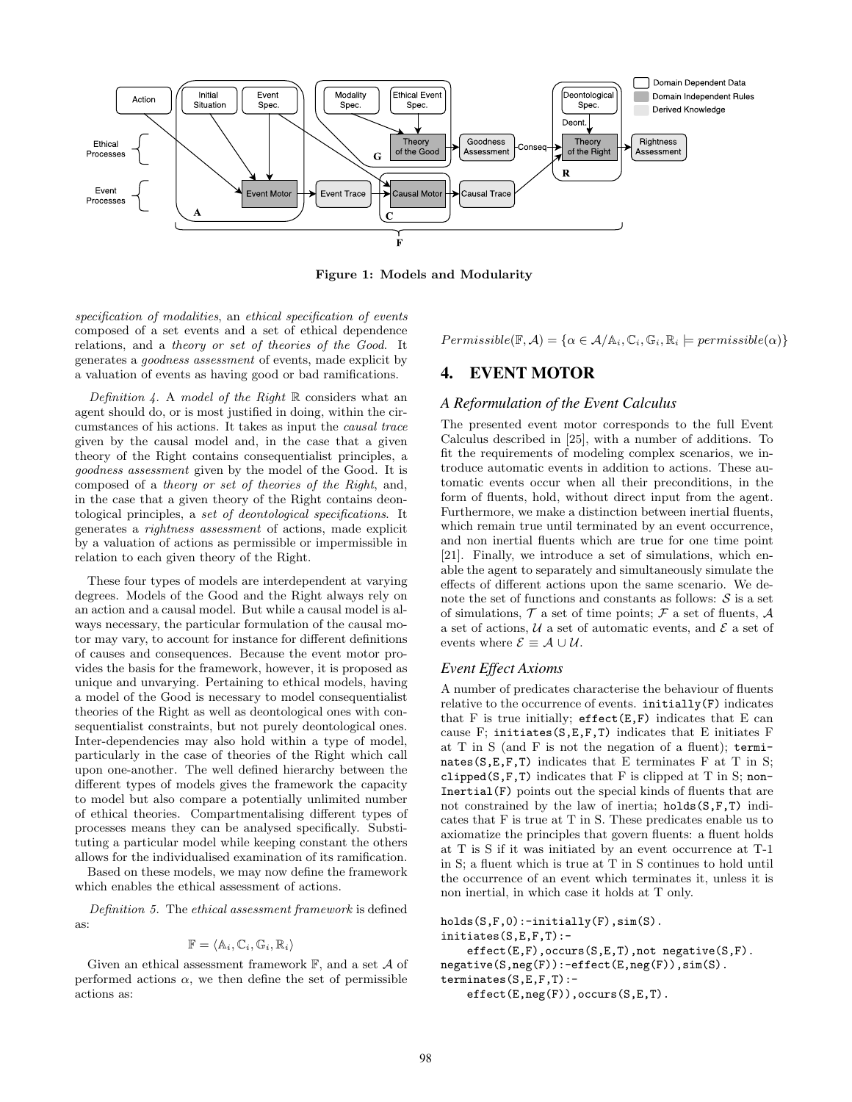

Figure 1: Models and Modularity

specification of modalities, an ethical specification of events composed of a set events and a set of ethical dependence relations, and a theory or set of theories of the Good. It generates a goodness assessment of events, made explicit by a valuation of events as having good or bad ramifications.

Definition 4. A model of the Right  $\mathbb R$  considers what an agent should do, or is most justified in doing, within the circumstances of his actions. It takes as input the causal trace given by the causal model and, in the case that a given theory of the Right contains consequentialist principles, a goodness assessment given by the model of the Good. It is composed of a theory or set of theories of the Right, and, in the case that a given theory of the Right contains deontological principles, a set of deontological specifications. It generates a rightness assessment of actions, made explicit by a valuation of actions as permissible or impermissible in relation to each given theory of the Right.

These four types of models are interdependent at varying degrees. Models of the Good and the Right always rely on an action and a causal model. But while a causal model is always necessary, the particular formulation of the causal motor may vary, to account for instance for different definitions of causes and consequences. Because the event motor provides the basis for the framework, however, it is proposed as unique and unvarying. Pertaining to ethical models, having a model of the Good is necessary to model consequentialist theories of the Right as well as deontological ones with consequentialist constraints, but not purely deontological ones. Inter-dependencies may also hold within a type of model, particularly in the case of theories of the Right which call upon one-another. The well defined hierarchy between the different types of models gives the framework the capacity to model but also compare a potentially unlimited number of ethical theories. Compartmentalising different types of processes means they can be analysed specifically. Substituting a particular model while keeping constant the others allows for the individualised examination of its ramification.

Based on these models, we may now define the framework which enables the ethical assessment of actions.

Definition 5. The ethical assessment framework is defined as:

$$
\mathbb{F} = \langle \mathbb{A}_i, \mathbb{C}_i, \mathbb{G}_i, \mathbb{R}_i \rangle
$$

Given an ethical assessment framework  $\mathbb{F}$ , and a set  $\mathcal A$  of performed actions  $\alpha$ , we then define the set of permissible actions as:

 $Permissible(\mathbb{F}, \mathcal{A}) = {\alpha \in \mathcal{A}/\mathbb{A}_i, \mathbb{C}_i, \mathbb{G}_i, \mathbb{R}_i \models permissible(\alpha)}$ 

## 4. EVENT MOTOR

#### *A Reformulation of the Event Calculus*

The presented event motor corresponds to the full Event Calculus described in [25], with a number of additions. To fit the requirements of modeling complex scenarios, we introduce automatic events in addition to actions. These automatic events occur when all their preconditions, in the form of fluents, hold, without direct input from the agent. Furthermore, we make a distinction between inertial fluents, which remain true until terminated by an event occurrence. and non inertial fluents which are true for one time point [21]. Finally, we introduce a set of simulations, which enable the agent to separately and simultaneously simulate the effects of different actions upon the same scenario. We denote the set of functions and constants as follows:  $S$  is a set of simulations,  $\mathcal T$  a set of time points;  $\mathcal F$  a set of fluents,  $\mathcal A$ a set of actions,  $U$  a set of automatic events, and  $\mathcal E$  a set of events where  $\mathcal{E} \equiv \mathcal{A} \cup \mathcal{U}$ .

#### *Event Effect Axioms*

A number of predicates characterise the behaviour of fluents relative to the occurrence of events. initially(F) indicates that F is true initially;  $\texttt{effect}(E,F)$  indicates that E can cause F; initiates(S,E,F,T) indicates that E initiates F at T in S (and F is not the negation of a fluent); terminates ( $S, E, F, T$ ) indicates that E terminates F at T in S; clipped( $S$ , $F$ , $T$ ) indicates that  $F$  is clipped at  $T$  in  $S$ ; non-Inertial(F) points out the special kinds of fluents that are not constrained by the law of inertia; holds(S,F,T) indicates that F is true at T in S. These predicates enable us to axiomatize the principles that govern fluents: a fluent holds at T is S if it was initiated by an event occurrence at T-1 in S; a fluent which is true at T in S continues to hold until the occurrence of an event which terminates it, unless it is non inertial, in which case it holds at T only.

```
holds(S,F,0):-initially(F),sim(S).initiates(S,E,F,T):-
    effect(E,F),occurs(S,E,T),not negative(S,F).
negative(S,neg(F)):-effect(E,neg(F)),sim(S).
terminates(S,E,F,T):-
    effect(E,neg(F)),occurs(S,E,T).
```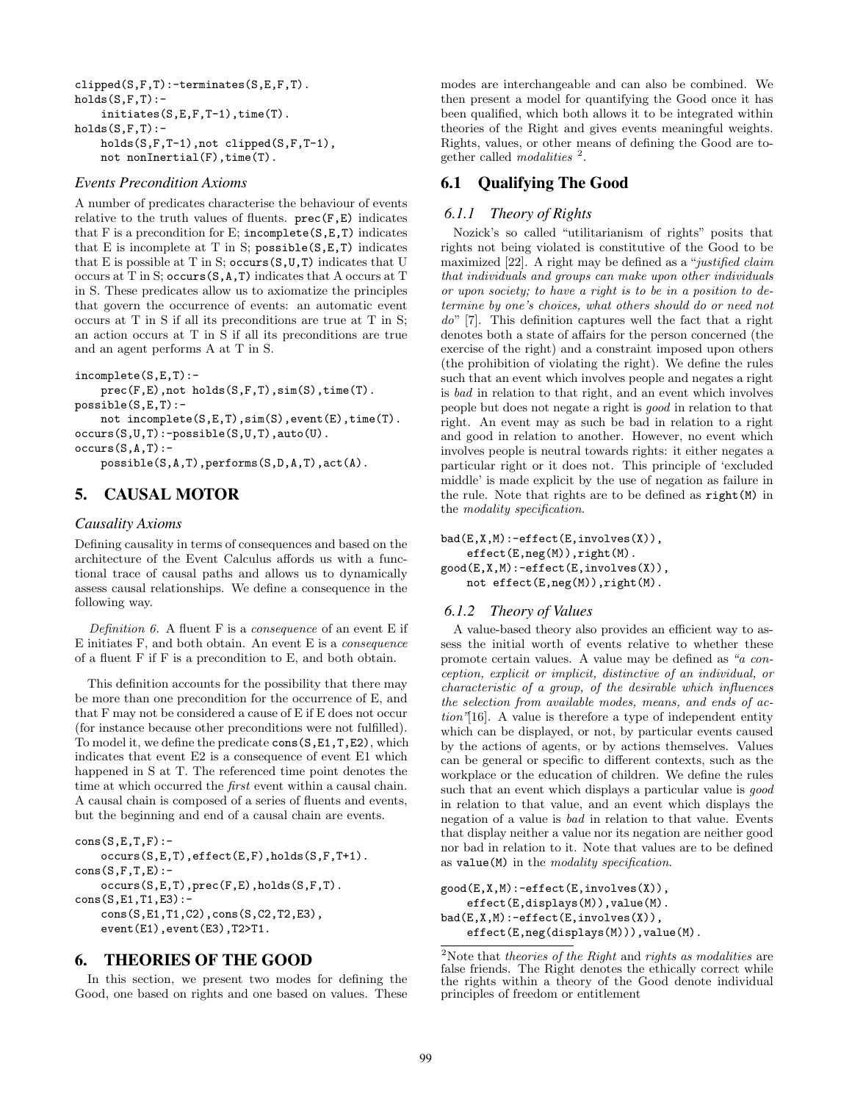```
clipped(S,F,T):-terminates(S,E,F,T).
holds(S,F,T):-
    initiates(S,E,F,T-1),time(T).
holds(S,F,T):-
   holds(S,F,T-1),not clipped(S,F,T-1),
   not nonInertial(F),time(T).
```
#### *Events Precondition Axioms*

A number of predicates characterise the behaviour of events relative to the truth values of fluents.  $prec(F, E)$  indicates that F is a precondition for E; incomplete( $S, E, T$ ) indicates that E is incomplete at T in S;  $posible(S, E, T)$  indicates that E is possible at T in S; occurs  $(S, U, T)$  indicates that U occurs at T in S; occurs(S,A,T) indicates that A occurs at T in S. These predicates allow us to axiomatize the principles that govern the occurrence of events: an automatic event occurs at T in S if all its preconditions are true at T in S; an action occurs at T in S if all its preconditions are true and an agent performs A at T in S.

```
incomplete(S,E,T):-
```
prec(F,E),not holds(S,F,T),sim(S),time(T). possible(S,E,T): not incomplete(S,E,T),sim(S),event(E),time(T). occurs(S,U,T):-possible(S,U,T),auto(U).

 $occurs(S,A,T):$ -

possible(S,A,T),performs(S,D,A,T),act(A).

# 5. CAUSAL MOTOR

## *Causality Axioms*

Defining causality in terms of consequences and based on the architecture of the Event Calculus affords us with a functional trace of causal paths and allows us to dynamically assess causal relationships. We define a consequence in the following way.

Definition 6. A fluent  $F$  is a consequence of an event  $E$  if E initiates F, and both obtain. An event E is a consequence of a fluent F if F is a precondition to E, and both obtain.

This definition accounts for the possibility that there may be more than one precondition for the occurrence of E, and that F may not be considered a cause of E if E does not occur (for instance because other preconditions were not fulfilled). To model it, we define the predicate cons(S,E1,T,E2), which indicates that event E2 is a consequence of event E1 which happened in S at T. The referenced time point denotes the time at which occurred the *first* event within a causal chain. A causal chain is composed of a series of fluents and events, but the beginning and end of a causal chain are events.

```
cons(S, E, T, F):-
    occurs(S,E,T),effect(E,F),holds(S,F,T+1).
cons(S,F,T,E):-
    occurs(S,E,T),prec(F,E),holds(S,F,T).
cons(S, E1, T1, E3):
    cons(S,E1,T1,C2),cons(S,C2,T2,E3),
    event(E1),event(E3),T2>T1.
```
## 6. THEORIES OF THE GOOD

In this section, we present two modes for defining the Good, one based on rights and one based on values. These

modes are interchangeable and can also be combined. We then present a model for quantifying the Good once it has been qualified, which both allows it to be integrated within theories of the Right and gives events meaningful weights. Rights, values, or other means of defining the Good are together called *modalities*  $^{2}$ .

# 6.1 Qualifying The Good

#### *6.1.1 Theory of Rights*

Nozick's so called "utilitarianism of rights" posits that rights not being violated is constitutive of the Good to be maximized [22]. A right may be defined as a "justified claim that individuals and groups can make upon other individuals or upon society; to have a right is to be in a position to determine by one's choices, what others should do or need not do" [7]. This definition captures well the fact that a right denotes both a state of affairs for the person concerned (the exercise of the right) and a constraint imposed upon others (the prohibition of violating the right). We define the rules such that an event which involves people and negates a right is bad in relation to that right, and an event which involves people but does not negate a right is good in relation to that right. An event may as such be bad in relation to a right and good in relation to another. However, no event which involves people is neutral towards rights: it either negates a particular right or it does not. This principle of 'excluded middle' is made explicit by the use of negation as failure in the rule. Note that rights are to be defined as right(M) in the modality specification.

 $bad(E,X,M):=effect(E,involves(X)),$ effect(E,neg(M)),right(M). good(E,X,M):-effect(E,involves(X)), not effect(E,neg(M)),right(M).

#### *6.1.2 Theory of Values*

A value-based theory also provides an efficient way to assess the initial worth of events relative to whether these promote certain values. A value may be defined as "a conception, explicit or implicit, distinctive of an individual, or characteristic of a group, of the desirable which influences the selection from available modes, means, and ends of action"[16]. A value is therefore a type of independent entity which can be displayed, or not, by particular events caused by the actions of agents, or by actions themselves. Values can be general or specific to different contexts, such as the workplace or the education of children. We define the rules such that an event which displays a particular value is good in relation to that value, and an event which displays the negation of a value is bad in relation to that value. Events that display neither a value nor its negation are neither good nor bad in relation to it. Note that values are to be defined as value(M) in the modality specification.

```
good(E,X,M):-effect(E,involves(X)),
    effect(E,displays(M)),value(M).
bad(E,X,M):-effect(E,involves(X)),
    effect(E,neg(displays(M))),value(M).
```
 $2$ Note that theories of the Right and rights as modalities are false friends. The Right denotes the ethically correct while the rights within a theory of the Good denote individual principles of freedom or entitlement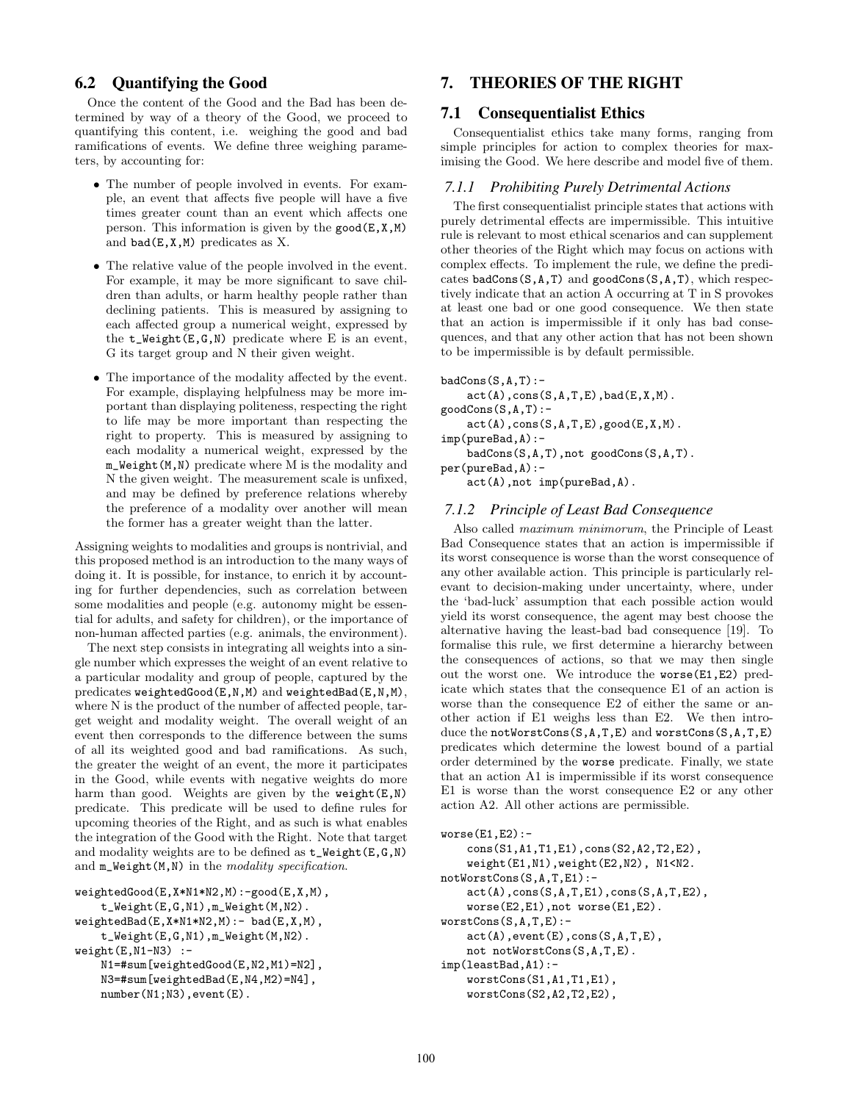## 6.2 Quantifying the Good

Once the content of the Good and the Bad has been determined by way of a theory of the Good, we proceed to quantifying this content, i.e. weighing the good and bad ramifications of events. We define three weighing parameters, by accounting for:

- The number of people involved in events. For example, an event that affects five people will have a five times greater count than an event which affects one person. This information is given by the  $\text{good}(E, X, M)$ and  $bad(E,X,M)$  predicates as X.
- The relative value of the people involved in the event. For example, it may be more significant to save children than adults, or harm healthy people rather than declining patients. This is measured by assigning to each affected group a numerical weight, expressed by the  $t$ <sub>-</sub>Weight $(E,G,N)$  predicate where E is an event, G its target group and N their given weight.
- The importance of the modality affected by the event. For example, displaying helpfulness may be more important than displaying politeness, respecting the right to life may be more important than respecting the right to property. This is measured by assigning to each modality a numerical weight, expressed by the m\_Weight(M,N) predicate where M is the modality and N the given weight. The measurement scale is unfixed, and may be defined by preference relations whereby the preference of a modality over another will mean the former has a greater weight than the latter.

Assigning weights to modalities and groups is nontrivial, and this proposed method is an introduction to the many ways of doing it. It is possible, for instance, to enrich it by accounting for further dependencies, such as correlation between some modalities and people (e.g. autonomy might be essential for adults, and safety for children), or the importance of non-human affected parties (e.g. animals, the environment).

The next step consists in integrating all weights into a single number which expresses the weight of an event relative to a particular modality and group of people, captured by the predicates weightedGood(E,N,M) and weightedBad(E,N,M), where N is the product of the number of affected people, target weight and modality weight. The overall weight of an event then corresponds to the difference between the sums of all its weighted good and bad ramifications. As such, the greater the weight of an event, the more it participates in the Good, while events with negative weights do more harm than good. Weights are given by the weight $(E, N)$ predicate. This predicate will be used to define rules for upcoming theories of the Right, and as such is what enables the integration of the Good with the Right. Note that target and modality weights are to be defined as  $t$ \_Weight $(E,G,N)$ and  $m$ \_Weight(M,N) in the modality specification.

```
weightedGood(E,X*N1*N2,M):-good(E,X,M),
    t_Weight(E,G,N1),m_Weight(M,N2).
weightedBad(E,X*N1*N2,M):- bad(E,X,M),t_Weight(E,G,N1),m_Weight(M,N2).
weight(E,N1-N3) :-
   N1=#sum[weightedGood(E,N2,M1)=N2],
   N3=#sum[weightedBad(E,N4,M2)=N4],
   number(N1;N3),event(E).
```
# 7. THEORIES OF THE RIGHT

#### 7.1 Consequentialist Ethics

Consequentialist ethics take many forms, ranging from simple principles for action to complex theories for maximising the Good. We here describe and model five of them.

#### *7.1.1 Prohibiting Purely Detrimental Actions*

The first consequentialist principle states that actions with purely detrimental effects are impermissible. This intuitive rule is relevant to most ethical scenarios and can supplement other theories of the Right which may focus on actions with complex effects. To implement the rule, we define the predicates badCons $(S, A, T)$  and goodCons $(S, A, T)$ , which respectively indicate that an action A occurring at T in S provokes at least one bad or one good consequence. We then state that an action is impermissible if it only has bad consequences, and that any other action that has not been shown to be impermissible is by default permissible.

```
badCons(S,A,T):-
```
 $act(A),cons(S,A,T,E),bad(E,X,M).$ 

goodCons(S,A,T):  $act(A)$ ,  $cons(S, A, T, E)$ ,  $good(E, X, M)$ .

imp(pureBad,A):-

```
badCons(S,A,T),not goodCons(S,A,T).
```
per(pureBad,A):-

act(A),not imp(pureBad,A).

#### *7.1.2 Principle of Least Bad Consequence*

Also called maximum minimorum, the Principle of Least Bad Consequence states that an action is impermissible if its worst consequence is worse than the worst consequence of any other available action. This principle is particularly relevant to decision-making under uncertainty, where, under the 'bad-luck' assumption that each possible action would yield its worst consequence, the agent may best choose the alternative having the least-bad bad consequence [19]. To formalise this rule, we first determine a hierarchy between the consequences of actions, so that we may then single out the worst one. We introduce the worse(E1,E2) predicate which states that the consequence E1 of an action is worse than the consequence E2 of either the same or another action if E1 weighs less than E2. We then introduce the notWorstCons(S,A,T,E) and worstCons(S,A,T,E) predicates which determine the lowest bound of a partial order determined by the worse predicate. Finally, we state that an action A1 is impermissible if its worst consequence E1 is worse than the worst consequence E2 or any other action A2. All other actions are permissible.

```
worse(E1,E2):-
    cons(S1,A1,T1,E1),cons(S2,A2,T2,E2),
    weight(E1,N1),weight(E2,N2), N1<N2.
notWorstCons(S,A,T,E1):-
    act(A),cons(S,A,T,E1),cons(S,A,T,E2),
    worse(E2,E1),not worse(E1,E2).
worstCons(S,A,T,E):-
    act(A),event(E),cons(S,A,T,E),
    not notWorstCons(S,A,T,E).
imp(leastBad,A1):-
    worstCons(S1,A1,T1,E1),
    worstCons(S2,A2,T2,E2),
```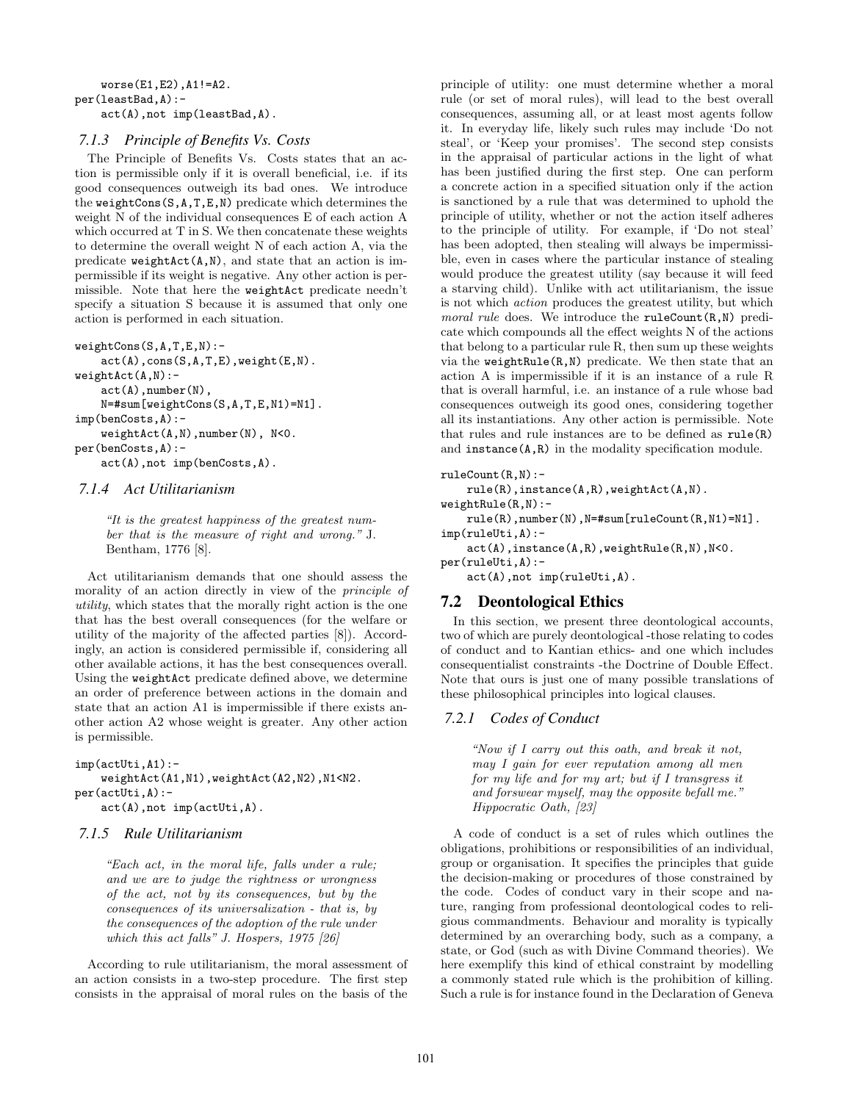```
worse(E1,E2),A1!=A2.
per(leastBad,A):-
    act(A),not imp(leastBad,A).
```
#### *7.1.3 Principle of Benefits Vs. Costs*

The Principle of Benefits Vs. Costs states that an action is permissible only if it is overall beneficial, i.e. if its good consequences outweigh its bad ones. We introduce the weightCons $(S, A, T, E, N)$  predicate which determines the weight N of the individual consequences E of each action A which occurred at T in S. We then concatenate these weights to determine the overall weight N of each action A, via the predicate  $weightAct(A,N)$ , and state that an action is impermissible if its weight is negative. Any other action is permissible. Note that here the weightAct predicate needn't specify a situation S because it is assumed that only one action is performed in each situation.

```
weightCons(S,A,T,E,N):-
    act(A),cons(S,A,T,E),weight(E,N).
weightAct(A,N):-
    act(A),number(N),
    N=#sum[weightCons(S,A,T,E,N1)=N1].
imp(benCosts,A):-
    weightAct(A,N),number(N), N<0.
per(benCosts,A):-
    act(A),not imp(benCosts,A).
```
## *7.1.4 Act Utilitarianism*

"It is the greatest happiness of the greatest number that is the measure of right and wrong." J. Bentham, 1776 [8].

Act utilitarianism demands that one should assess the morality of an action directly in view of the principle of utility, which states that the morally right action is the one that has the best overall consequences (for the welfare or utility of the majority of the affected parties [8]). Accordingly, an action is considered permissible if, considering all other available actions, it has the best consequences overall. Using the weightAct predicate defined above, we determine an order of preference between actions in the domain and state that an action A1 is impermissible if there exists another action A2 whose weight is greater. Any other action is permissible.

```
imp(actUti,A1):-
    weightAct(A1,N1),weightAct(A2,N2),N1<N2.
per(actUti,A):-
    act(A),not imp(actUti,A).
```
## *7.1.5 Rule Utilitarianism*

"Each act, in the moral life, falls under a rule; and we are to judge the rightness or wrongness of the act, not by its consequences, but by the consequences of its universalization - that is, by the consequences of the adoption of the rule under which this act falls" J. Hospers, 1975 [26]

According to rule utilitarianism, the moral assessment of an action consists in a two-step procedure. The first step consists in the appraisal of moral rules on the basis of the

principle of utility: one must determine whether a moral rule (or set of moral rules), will lead to the best overall consequences, assuming all, or at least most agents follow it. In everyday life, likely such rules may include 'Do not steal', or 'Keep your promises'. The second step consists in the appraisal of particular actions in the light of what has been justified during the first step. One can perform a concrete action in a specified situation only if the action is sanctioned by a rule that was determined to uphold the principle of utility, whether or not the action itself adheres to the principle of utility. For example, if 'Do not steal' has been adopted, then stealing will always be impermissible, even in cases where the particular instance of stealing would produce the greatest utility (say because it will feed a starving child). Unlike with act utilitarianism, the issue is not which action produces the greatest utility, but which moral rule does. We introduce the  $ruleCount(R,N)$  predicate which compounds all the effect weights N of the actions that belong to a particular rule R, then sum up these weights via the weightRule(R,N) predicate. We then state that an action A is impermissible if it is an instance of a rule R that is overall harmful, i.e. an instance of a rule whose bad consequences outweigh its good ones, considering together all its instantiations. Any other action is permissible. Note that rules and rule instances are to be defined as rule(R) and  $instance(A,R)$  in the modality specification module.

```
ruleCount(R,N):-
```

```
rule(R),instance(A,R),weightAct(A,N).
```

```
weightRule(R,N):-
```
rule(R),number(N),N=#sum[ruleCount(R,N1)=N1]. imp(ruleUti,A):-

```
act(A),instance(A,R),weightRule(R,N),N<0.
```

```
per(ruleUti,A):-
```
act(A),not imp(ruleUti,A).

## 7.2 Deontological Ethics

In this section, we present three deontological accounts, two of which are purely deontological -those relating to codes of conduct and to Kantian ethics- and one which includes consequentialist constraints -the Doctrine of Double Effect. Note that ours is just one of many possible translations of these philosophical principles into logical clauses.

## *7.2.1 Codes of Conduct*

"Now if I carry out this oath, and break it not, may I gain for ever reputation among all men for my life and for my art; but if I transgress it and forswear myself, may the opposite befall me." Hippocratic Oath, [23]

A code of conduct is a set of rules which outlines the obligations, prohibitions or responsibilities of an individual, group or organisation. It specifies the principles that guide the decision-making or procedures of those constrained by the code. Codes of conduct vary in their scope and nature, ranging from professional deontological codes to religious commandments. Behaviour and morality is typically determined by an overarching body, such as a company, a state, or God (such as with Divine Command theories). We here exemplify this kind of ethical constraint by modelling a commonly stated rule which is the prohibition of killing. Such a rule is for instance found in the Declaration of Geneva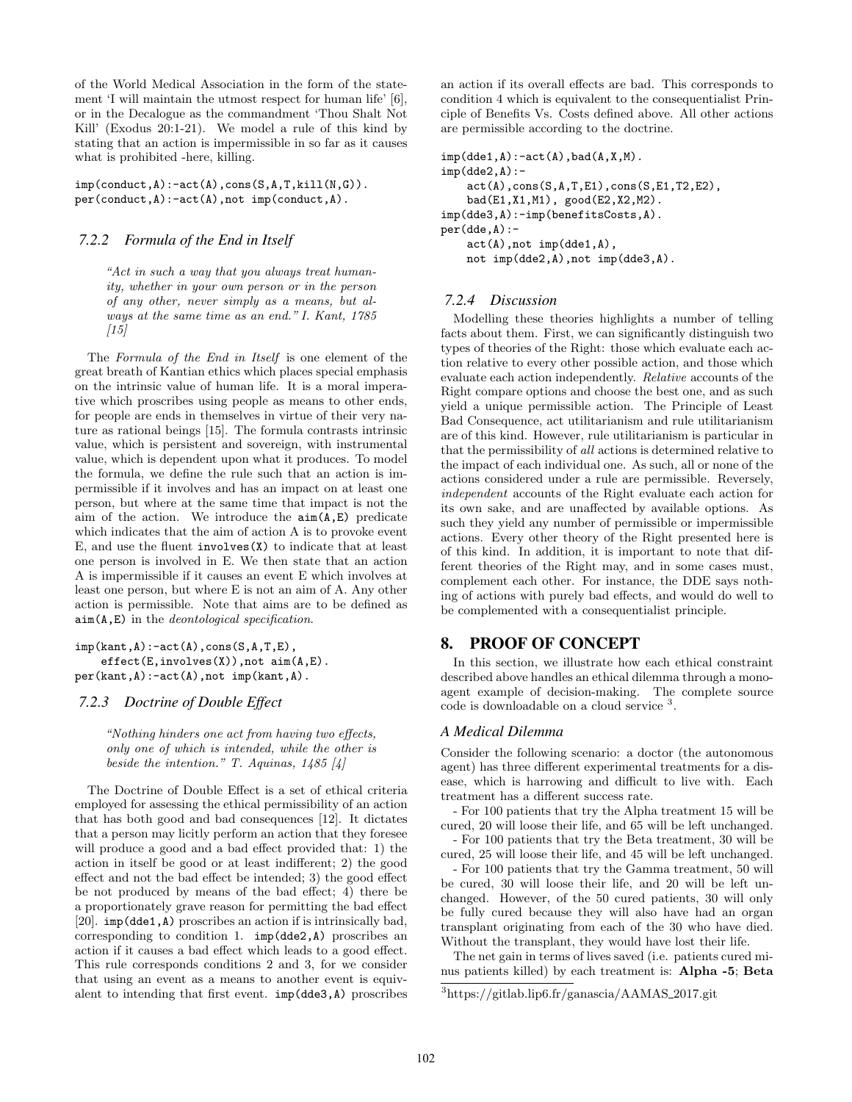of the World Medical Association in the form of the statement 'I will maintain the utmost respect for human life' [6], or in the Decalogue as the commandment 'Thou Shalt Not Kill' (Exodus 20:1-21). We model a rule of this kind by stating that an action is impermissible in so far as it causes what is prohibited -here, killing.

 $imp(conduct,A):$ -act $(A)$ ,cons $(S,A,T,kill(N,G))$ . per(conduct,A):-act(A),not imp(conduct,A).

#### *7.2.2 Formula of the End in Itself*

"Act in such a way that you always treat humanity, whether in your own person or in the person of any other, never simply as a means, but always at the same time as an end." I. Kant, 1785  $[15]$ 

The Formula of the End in Itself is one element of the great breath of Kantian ethics which places special emphasis on the intrinsic value of human life. It is a moral imperative which proscribes using people as means to other ends, for people are ends in themselves in virtue of their very nature as rational beings [15]. The formula contrasts intrinsic value, which is persistent and sovereign, with instrumental value, which is dependent upon what it produces. To model the formula, we define the rule such that an action is impermissible if it involves and has an impact on at least one person, but where at the same time that impact is not the aim of the action. We introduce the  $\text{aim}(A, E)$  predicate which indicates that the aim of action A is to provoke event E, and use the fluent involves(X) to indicate that at least one person is involved in E. We then state that an action A is impermissible if it causes an event E which involves at least one person, but where E is not an aim of A. Any other action is permissible. Note that aims are to be defined as  $\texttt{aim}(A, E)$  in the *deontological specification*.

```
imp(kant,A):-act(A),cons(S,A,T,E),
    effect(E,involves(X)), not aim(A, E).
per(kant,A):-act(A),not imp(kant,A).
```
#### *7.2.3 Doctrine of Double Effect*

"Nothing hinders one act from having two effects, only one of which is intended, while the other is beside the intention." T. Aquinas,  $1485 \; [4]$ 

The Doctrine of Double Effect is a set of ethical criteria employed for assessing the ethical permissibility of an action that has both good and bad consequences [12]. It dictates that a person may licitly perform an action that they foresee will produce a good and a bad effect provided that: 1) the action in itself be good or at least indifferent; 2) the good effect and not the bad effect be intended; 3) the good effect be not produced by means of the bad effect; 4) there be a proportionately grave reason for permitting the bad effect [20]. imp(dde1,A) proscribes an action if is intrinsically bad, corresponding to condition 1. imp(dde2,A) proscribes an action if it causes a bad effect which leads to a good effect. This rule corresponds conditions 2 and 3, for we consider that using an event as a means to another event is equivalent to intending that first event. imp(dde3,A) proscribes an action if its overall effects are bad. This corresponds to condition 4 which is equivalent to the consequentialist Principle of Benefits Vs. Costs defined above. All other actions are permissible according to the doctrine.

```
imp(dde1, A): -act(A), bad(A, X, M).imp(dde2,A):act(A),cons(S,A,T,E1),cons(S,E1,T2,E2),
    bad(E1,X1,M1), good(E2,X2,M2).
imp(dde3,A):-imp(benefitsCosts,A).
per(dde,A):-
    act(A),not imp(dde1,A),
    not imp(dde2,A),not imp(dde3,A).
```
#### *7.2.4 Discussion*

Modelling these theories highlights a number of telling facts about them. First, we can significantly distinguish two types of theories of the Right: those which evaluate each action relative to every other possible action, and those which evaluate each action independently. Relative accounts of the Right compare options and choose the best one, and as such yield a unique permissible action. The Principle of Least Bad Consequence, act utilitarianism and rule utilitarianism are of this kind. However, rule utilitarianism is particular in that the permissibility of all actions is determined relative to the impact of each individual one. As such, all or none of the actions considered under a rule are permissible. Reversely, independent accounts of the Right evaluate each action for its own sake, and are unaffected by available options. As such they yield any number of permissible or impermissible actions. Every other theory of the Right presented here is of this kind. In addition, it is important to note that different theories of the Right may, and in some cases must, complement each other. For instance, the DDE says nothing of actions with purely bad effects, and would do well to be complemented with a consequentialist principle.

## 8. PROOF OF CONCEPT

In this section, we illustrate how each ethical constraint described above handles an ethical dilemma through a monoagent example of decision-making. The complete source code is downloadable on a cloud service <sup>3</sup>.

#### *A Medical Dilemma*

Consider the following scenario: a doctor (the autonomous agent) has three different experimental treatments for a disease, which is harrowing and difficult to live with. Each treatment has a different success rate.

- For 100 patients that try the Alpha treatment 15 will be cured, 20 will loose their life, and 65 will be left unchanged.

- For 100 patients that try the Beta treatment, 30 will be cured, 25 will loose their life, and 45 will be left unchanged.

- For 100 patients that try the Gamma treatment, 50 will be cured, 30 will loose their life, and 20 will be left unchanged. However, of the 50 cured patients, 30 will only be fully cured because they will also have had an organ transplant originating from each of the 30 who have died. Without the transplant, they would have lost their life.

The net gain in terms of lives saved (i.e. patients cured minus patients killed) by each treatment is: Alpha -5; Beta

<sup>3</sup>https://gitlab.lip6.fr/ganascia/AAMAS 2017.git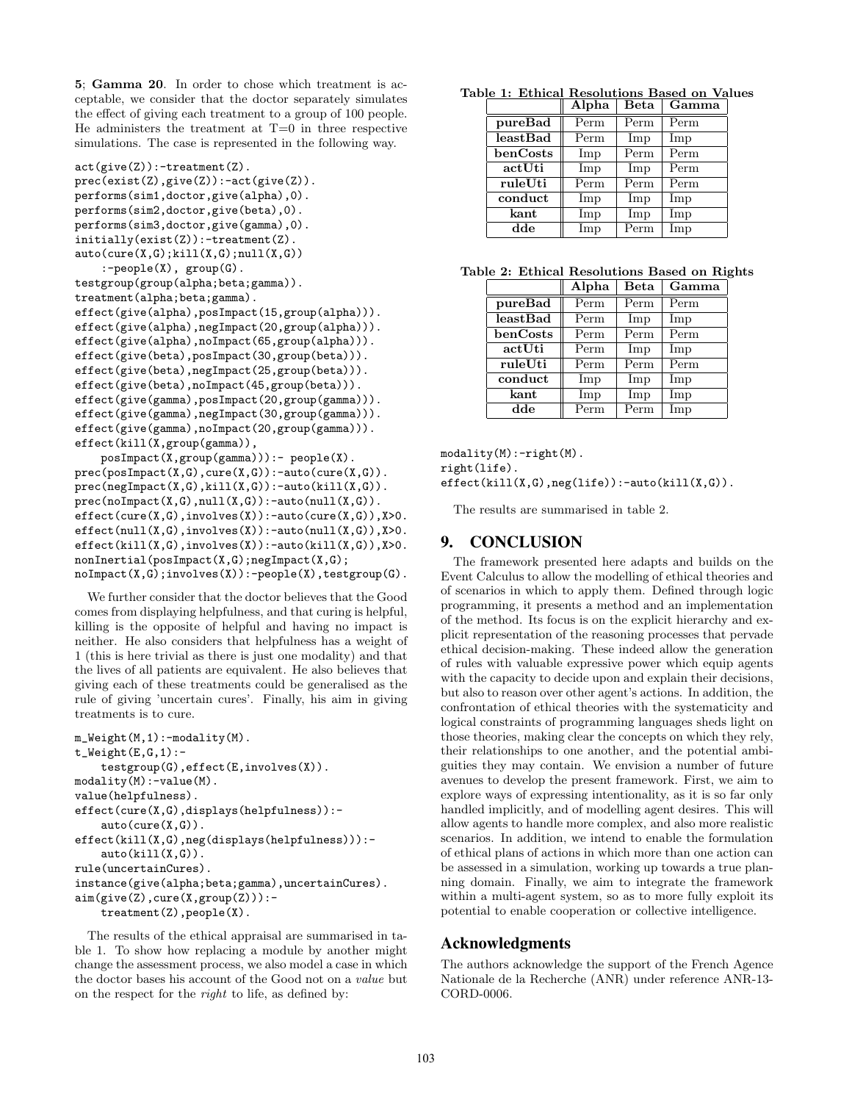5; Gamma 20. In order to chose which treatment is acceptable, we consider that the doctor separately simulates the effect of giving each treatment to a group of 100 people. He administers the treatment at  $T=0$  in three respective simulations. The case is represented in the following way.

```
act(give(Z)):-treatment(Z).
prec(exist(Z),give(Z)):-act(give(Z)).
performs(sim1,doctor,give(alpha),0).
performs(sim2,doctor,give(beta),0).
performs(sim3,doctor,give(gamma),0).
initially(exist(Z)):-treatment(Z).
auto(cure(X,G);kill(X,G);null(X,G)):-people(X), group(G).
testgroup(group(alpha;beta;gamma)).
treatment(alpha;beta;gamma).
effect(give(alpha),posImpact(15,group(alpha))).
effect(give(alpha),negImpact(20,group(alpha))).
effect(give(alpha),noImpact(65,group(alpha))).
effect(give(beta),posImpact(30,group(beta))).
effect(give(beta),negImpact(25,group(beta))).
effect(give(beta),noImpact(45,group(beta))).
effect(give(gamma),posImpact(20,group(gamma))).
effect(give(gamma),negImpact(30,group(gamma))).
effect(give(gamma),noImpact(20,group(gamma))).
effect(kill(X,group(gamma)),
```

```
posImpact(X,group(gamma))):- people(X).
prec(posImport(X,G), cure(X,G)):-auto(cure(X,G)).
prec(negImport(X,G),kill(X,G)):-auto(kill(X,G)).
prec(nolmpact(X,G),null(X,G)):-auto(null(X,G)).
effect(cure(X,G),involves(X)):-auto(cure(X,G)),X>0.effect(null(X,G),involves(X)):-auto(null(X,G)),X>0.effect(kill(X,G),involves(X)):-auto(kill(X,G)),X>0.nonInertial(posImpact(X,G);negImpact(X,G);
noImpact(X,G);involves(X)):-people(X),testgroup(G).
```
We further consider that the doctor believes that the Good comes from displaying helpfulness, and that curing is helpful, killing is the opposite of helpful and having no impact is neither. He also considers that helpfulness has a weight of 1 (this is here trivial as there is just one modality) and that the lives of all patients are equivalent. He also believes that giving each of these treatments could be generalised as the rule of giving 'uncertain cures'. Finally, his aim in giving treatments is to cure.

```
m_Weight(M,1):-modality(M).
t_Weight(E,G,1):testgroup(G),effect(E,involves(X)).
modality(M):-value(M).
value(helpfulness).
effect(cure(X,G),displays(helpfulness)):-
    auto(cure(X,G)).
effect(kill(X,G),neg(displays(helpfulness))):-
    auto(kill(X,G)).
rule(uncertainCures).
instance(give(alpha;beta;gamma),uncertainCures).
aim(give(Z),cure(X,group(Z))):-
    treatment(Z),people(X).
```
The results of the ethical appraisal are summarised in table 1. To show how replacing a module by another might change the assessment process, we also model a case in which the doctor bases his account of the Good not on a value but on the respect for the right to life, as defined by:

Table 1: Ethical Resolutions Based on Values

|          | Alpha                | Beta | Gamma                |
|----------|----------------------|------|----------------------|
| pureBad  | Perm                 | Perm | Perm                 |
| leastBad | Perm                 | Imp  | $\operatorname{Imp}$ |
| benCosts | Imp                  | Perm | Perm                 |
| actUti   | Imp                  | Imp  | Perm                 |
| ruleUti  | Perm                 | Perm | Perm                 |
| conduct  | Imp                  | Imp  | Imp                  |
| kant     | Imp                  | Imp  | Imp                  |
| dde      | $\operatorname{Imp}$ | Perm | ${\rm Imp}$          |

| Table 2: Ethical Resolutions Based on Rights |
|----------------------------------------------|
|----------------------------------------------|

|          | Alpha | <b>Beta</b> | Gamma                    |
|----------|-------|-------------|--------------------------|
| pureBad  | Perm  | Perm        | Perm                     |
| leastBad | Perm  | Imp         | Imp                      |
| benCosts | Perm  | Perm        | Perm                     |
| actUti   | Perm  | Imp         | Imp                      |
| ruleUti  | Perm  | Perm        | $\overline{\text{Perm}}$ |
| conduct  | Imp   | Imp         | Imp                      |
| kant     | Imp   | Imp         | Imp                      |
| dde      | Perm  | Perm        | $\operatorname{Imp}$     |

```
modality(M):-right(M).
```

```
right(life).
```
effect(kill(X,G),neg(life)):-auto(kill(X,G)).

The results are summarised in table 2.

# 9. CONCLUSION

The framework presented here adapts and builds on the Event Calculus to allow the modelling of ethical theories and of scenarios in which to apply them. Defined through logic programming, it presents a method and an implementation of the method. Its focus is on the explicit hierarchy and explicit representation of the reasoning processes that pervade ethical decision-making. These indeed allow the generation of rules with valuable expressive power which equip agents with the capacity to decide upon and explain their decisions, but also to reason over other agent's actions. In addition, the confrontation of ethical theories with the systematicity and logical constraints of programming languages sheds light on those theories, making clear the concepts on which they rely, their relationships to one another, and the potential ambiguities they may contain. We envision a number of future avenues to develop the present framework. First, we aim to explore ways of expressing intentionality, as it is so far only handled implicitly, and of modelling agent desires. This will allow agents to handle more complex, and also more realistic scenarios. In addition, we intend to enable the formulation of ethical plans of actions in which more than one action can be assessed in a simulation, working up towards a true planning domain. Finally, we aim to integrate the framework within a multi-agent system, so as to more fully exploit its potential to enable cooperation or collective intelligence.

#### Acknowledgments

The authors acknowledge the support of the French Agence Nationale de la Recherche (ANR) under reference ANR-13- CORD-0006.